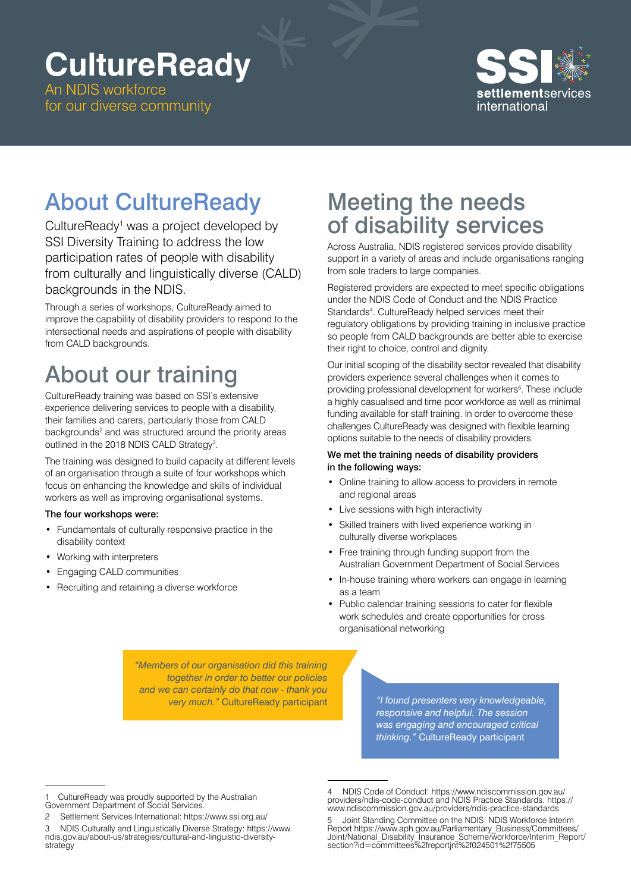# **CultureReady**

An NDIS workforce for our diverse community



## About CultureReady

CultureReady<sup>1</sup> was a project developed by SSI Diversity Training to address the low participation rates of people with disability from culturally and linguistically diverse (CALD) backgrounds in the NDIS.

Through a series of workshops, CultureReady aimed to improve the capability of disability providers to respond to the intersectional needs and aspirations of people with disability from CALD backgrounds.

# About our training

CultureReady training was based on SSI's extensive experience delivering services to people with a disability, their families and carers, particularly those from CALD backgrounds<sup>2</sup> and was structured around the priority areas outlined in the 2018 NDIS CALD Strategy<sup>3</sup>.

The training was designed to build capacity at different levels of an organisation through a suite of four workshops which focus on enhancing the knowledge and skills of individual workers as well as improving organisational systems.

#### The four workshops were:

- Fundamentals of culturally responsive practice in the disability context
- Working with interpreters
- Engaging CALD communities
- Recruiting and retaining a diverse workforce

## Meeting the needs of disability services

Across Australia, NDIS registered services provide disability support in a variety of areas and include organisations ranging from sole traders to large companies.

Registered providers are expected to meet specific obligations under the NDIS Code of Conduct and the NDIS Practice Standards<sup>4</sup>. CultureReady helped services meet their regulatory obligations by providing training in inclusive practice so people from CALD backgrounds are better able to exercise their right to choice, control and dignity.

Our initial scoping of the disability sector revealed that disability providers experience several challenges when it comes to providing professional development for workers<sup>5</sup>. These include a highly casualised and time poor workforce as well as minimal funding available for staff training. In order to overcome these challenges CultureReady was designed with flexible learning options suitable to the needs of disability providers.

#### We met the training needs of disability providers in the following ways:

- Online training to allow access to providers in remote and regional areas
- Live sessions with high interactivity
- Skilled trainers with lived experience working in culturally diverse workplaces
- Free training through funding support from the Australian Government Department of Social Services
- In-house training where workers can engage in learning as a team
- Public calendar training sessions to cater for flexible work schedules and create opportunities for cross organisational networking

*"Members of our organisation did this training together in order to better our policies and we can certainly do that now - thank you very much."* CultureReady participant *"I found presenters very knowledgeable,* 

*responsive and helpful. The session was engaging and encouraged critical thinking."* CultureReady participant

CultureReady was proudly supported by the Australian Government Department of Social Services.

<sup>2</sup> Settlement Services International: <https://www.ssi.org.au/>

<sup>3</sup> NDIS Culturally and Linguistically Diverse Strategy: [https://www.](https://www.ndis.gov.au/about-us/strategies/cultural-and-linguistic-diversity-strategy) [ndis.gov.au/about-us/strategies/cultural-and-linguistic-diversity](https://www.ndis.gov.au/about-us/strategies/cultural-and-linguistic-diversity-strategy)[strategy](https://www.ndis.gov.au/about-us/strategies/cultural-and-linguistic-diversity-strategy)

<sup>4</sup> NDIS Code of Conduct: [https://www.ndiscommission.gov.au/](https://www.ndiscommission.gov.au/providers/ndis-code-conduct) [providers/ndis-code-conduct](https://www.ndiscommission.gov.au/providers/ndis-code-conduct) and NDIS Practice Standards: [https://](https://www.ndiscommission.gov.au/providers/ndis-practice-standards) [www.ndiscommission.gov.au/providers/ndis-practice-standards](https://www.ndiscommission.gov.au/providers/ndis-practice-standards)

<sup>5</sup> Joint Standing Committee on the NDIS: NDIS Workforce Interim Report [https://www.aph.gov.au/Parliamentary\\_Business/Committees/](https://www.aph.gov.au/Parliamentary_Business/Committees/Joint/National_Disability_Insurance_Scheme/workforce/Interim_Report/section?id=committees%2freportjnt%2f024501%2f75505) [Joint/National\\_Disability\\_Insurance\\_Scheme/workforce/Interim\\_Report/](https://www.aph.gov.au/Parliamentary_Business/Committees/Joint/National_Disability_Insurance_Scheme/workforce/Interim_Report/section?id=committees%2freportjnt%2f024501%2f75505) [section?id=committees%2freportjnt%2f024501%2f75505](https://www.aph.gov.au/Parliamentary_Business/Committees/Joint/National_Disability_Insurance_Scheme/workforce/Interim_Report/section?id=committees%2freportjnt%2f024501%2f75505)